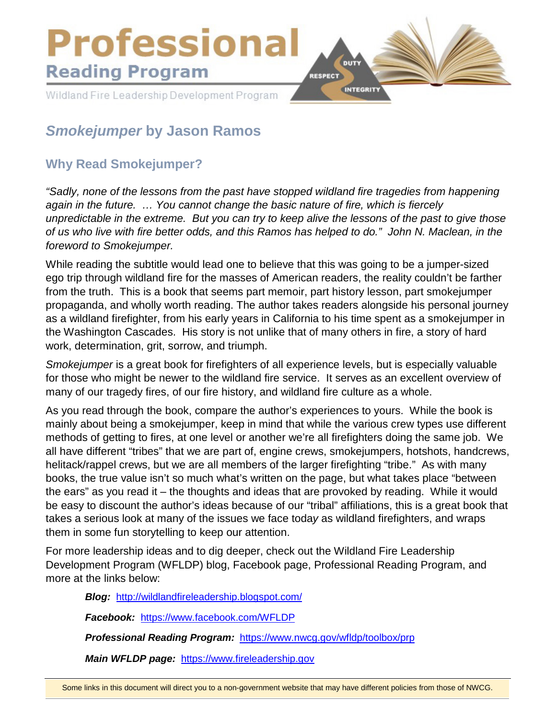

# *Smokejumper* **by Jason Ramos**

# **Why Read Smokejumper?**

*"Sadly, none of the lessons from the past have stopped wildland fire tragedies from happening again in the future. … You cannot change the basic nature of fire, which is fiercely unpredictable in the extreme. But you can try to keep alive the lessons of the past to give those of us who live with fire better odds, and this Ramos has helped to do." John N. Maclean, in the foreword to Smokejumper.*

While reading the subtitle would lead one to believe that this was going to be a jumper-sized ego trip through wildland fire for the masses of American readers, the reality couldn't be farther from the truth. This is a book that seems part memoir, part history lesson, part smokejumper propaganda, and wholly worth reading. The author takes readers alongside his personal journey as a wildland firefighter, from his early years in California to his time spent as a smokejumper in the Washington Cascades. His story is not unlike that of many others in fire, a story of hard work, determination, grit, sorrow, and triumph.

*Smokejumper* is a great book for firefighters of all experience levels, but is especially valuable for those who might be newer to the wildland fire service. It serves as an excellent overview of many of our tragedy fires, of our fire history, and wildland fire culture as a whole.

As you read through the book, compare the author's experiences to yours. While the book is mainly about being a smokejumper, keep in mind that while the various crew types use different methods of getting to fires, at one level or another we're all firefighters doing the same job. We all have different "tribes" that we are part of, engine crews, smokejumpers, hotshots, handcrews, helitack/rappel crews, but we are all members of the larger firefighting "tribe." As with many books, the true value isn't so much what's written on the page, but what takes place "between the ears" as you read it – the thoughts and ideas that are provoked by reading. While it would be easy to discount the author's ideas because of our "tribal" affiliations, this is a great book that takes a serious look at many of the issues we face toda*y* as wildland firefighters, and wraps them in some fun storytelling to keep our attention.

For more leadership ideas and to dig deeper, check out the Wildland Fire Leadership Development Program (WFLDP) blog, Facebook page, Professional Reading Program, and more at the links below:

*Blog:* <http://wildlandfireleadership.blogspot.com/>

*Facebook:* <https://www.facebook.com/WFLDP>

*Professional Reading Program:* <https://www.nwcg.gov/wfldp/toolbox/prp>

*Main WFLDP page:* [https://www.fireleadership.gov](https://www.fireleadership.gov/)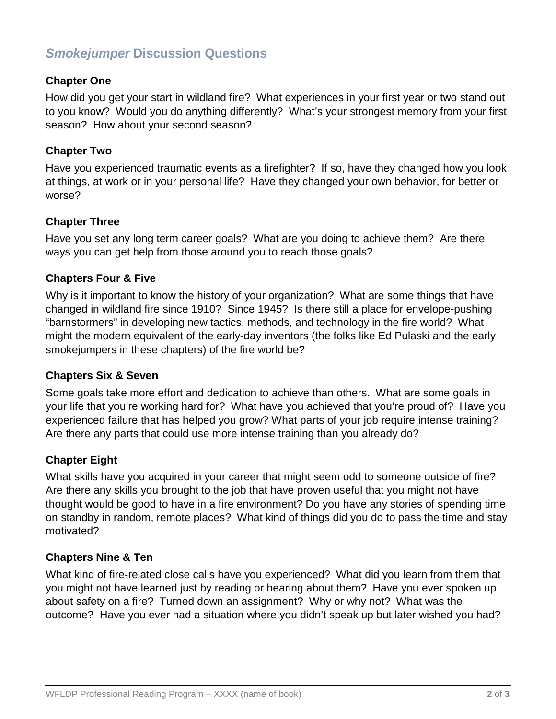# *Smokejumper* **Discussion Questions**

# **Chapter One**

How did you get your start in wildland fire? What experiences in your first year or two stand out to you know? Would you do anything differently? What's your strongest memory from your first season? How about your second season?

#### **Chapter Two**

Have you experienced traumatic events as a firefighter? If so, have they changed how you look at things, at work or in your personal life? Have they changed your own behavior, for better or worse?

# **Chapter Three**

Have you set any long term career goals? What are you doing to achieve them? Are there ways you can get help from those around you to reach those goals?

# **Chapters Four & Five**

Why is it important to know the history of your organization? What are some things that have changed in wildland fire since 1910? Since 1945? Is there still a place for envelope-pushing "barnstormers" in developing new tactics, methods, and technology in the fire world? What might the modern equivalent of the early-day inventors (the folks like Ed Pulaski and the early smokejumpers in these chapters) of the fire world be?

#### **Chapters Six & Seven**

Some goals take more effort and dedication to achieve than others. What are some goals in your life that you're working hard for? What have you achieved that you're proud of? Have you experienced failure that has helped you grow? What parts of your job require intense training? Are there any parts that could use more intense training than you already do?

#### **Chapter Eight**

What skills have you acquired in your career that might seem odd to someone outside of fire? Are there any skills you brought to the job that have proven useful that you might not have thought would be good to have in a fire environment? Do you have any stories of spending time on standby in random, remote places? What kind of things did you do to pass the time and stay motivated?

#### **Chapters Nine & Ten**

What kind of fire-related close calls have you experienced? What did you learn from them that you might not have learned just by reading or hearing about them? Have you ever spoken up about safety on a fire? Turned down an assignment? Why or why not? What was the outcome? Have you ever had a situation where you didn't speak up but later wished you had?